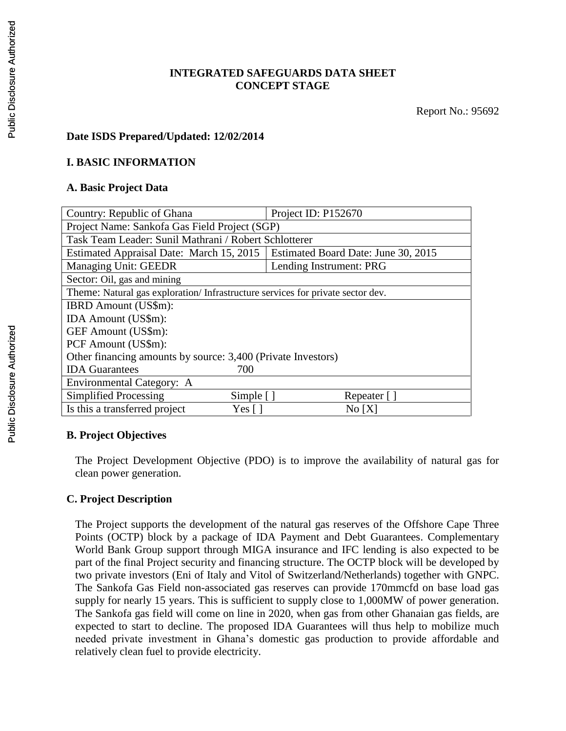## **INTEGRATED SAFEGUARDS DATA SHEET CONCEPT STAGE**

## **Date ISDS Prepared/Updated: 12/02/2014**

#### **I. BASIC INFORMATION**

#### **A. Basic Project Data**

| Country: Republic of Ghana                                                     | Project ID: P152670                 |  |  |  |
|--------------------------------------------------------------------------------|-------------------------------------|--|--|--|
| Project Name: Sankofa Gas Field Project (SGP)                                  |                                     |  |  |  |
| Task Team Leader: Sunil Mathrani / Robert Schlotterer                          |                                     |  |  |  |
| Estimated Appraisal Date: March 15, 2015                                       | Estimated Board Date: June 30, 2015 |  |  |  |
| Managing Unit: GEEDR                                                           | Lending Instrument: PRG             |  |  |  |
| Sector: Oil, gas and mining                                                    |                                     |  |  |  |
| Theme: Natural gas exploration/Infrastructure services for private sector dev. |                                     |  |  |  |
| <b>IBRD</b> Amount (US\$m):                                                    |                                     |  |  |  |
| IDA Amount (US\$m):                                                            |                                     |  |  |  |
| GEF Amount (US\$m):                                                            |                                     |  |  |  |
| PCF Amount (US\$m):                                                            |                                     |  |  |  |
| Other financing amounts by source: 3,400 (Private Investors)                   |                                     |  |  |  |
| <b>IDA</b> Guarantees<br>700                                                   |                                     |  |  |  |
| Environmental Category: A                                                      |                                     |  |  |  |
| Simplified Processing<br>Simple $[$ ]                                          | Repeater []                         |  |  |  |
| Is this a transferred project<br>Yes [ ]                                       | No[X]                               |  |  |  |

## **B. Project Objectives**

The Project Development Objective (PDO) is to improve the availability of natural gas for clean power generation.

## **C. Project Description**

The Project supports the development of the natural gas reserves of the Offshore Cape Three Points (OCTP) block by a package of IDA Payment and Debt Guarantees. Complementary World Bank Group support through MIGA insurance and IFC lending is also expected to be part of the final Project security and financing structure. The OCTP block will be developed by two private investors (Eni of Italy and Vitol of Switzerland/Netherlands) together with GNPC. The Sankofa Gas Field non-associated gas reserves can provide 170mmcfd on base load gas supply for nearly 15 years. This is sufficient to supply close to 1,000MW of power generation. The Sankofa gas field will come on line in 2020, when gas from other Ghanaian gas fields, are expected to start to decline. The proposed IDA Guarantees will thus help to mobilize much needed private investment in Ghana's domestic gas production to provide affordable and relatively clean fuel to provide electricity.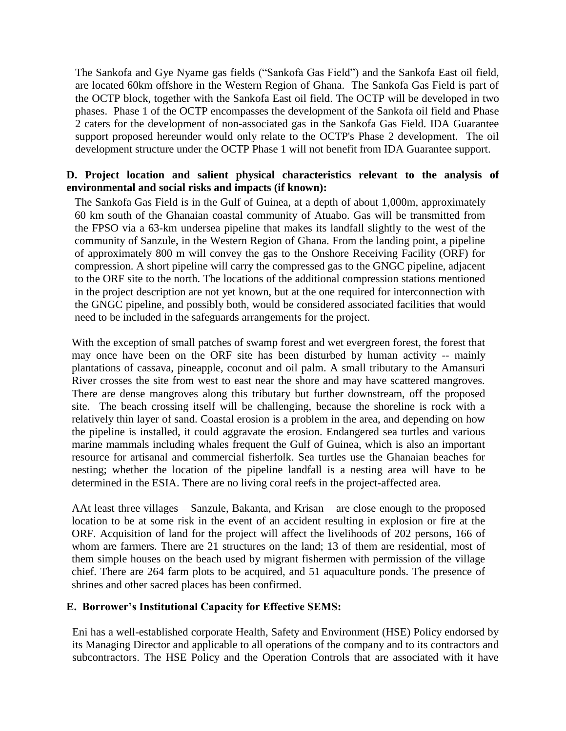The Sankofa and Gye Nyame gas fields ("Sankofa Gas Field") and the Sankofa East oil field, are located 60km offshore in the Western Region of Ghana. The Sankofa Gas Field is part of the OCTP block, together with the Sankofa East oil field. The OCTP will be developed in two phases. Phase 1 of the OCTP encompasses the development of the Sankofa oil field and Phase 2 caters for the development of non-associated gas in the Sankofa Gas Field. IDA Guarantee support proposed hereunder would only relate to the OCTP's Phase 2 development. The oil development structure under the OCTP Phase 1 will not benefit from IDA Guarantee support.

## **D. Project location and salient physical characteristics relevant to the analysis of environmental and social risks and impacts (if known):**

The Sankofa Gas Field is in the Gulf of Guinea, at a depth of about 1,000m, approximately 60 km south of the Ghanaian coastal community of Atuabo. Gas will be transmitted from the FPSO via a 63-km undersea pipeline that makes its landfall slightly to the west of the community of Sanzule, in the Western Region of Ghana. From the landing point, a pipeline of approximately 800 m will convey the gas to the Onshore Receiving Facility (ORF) for compression. A short pipeline will carry the compressed gas to the GNGC pipeline, adjacent to the ORF site to the north. The locations of the additional compression stations mentioned in the project description are not yet known, but at the one required for interconnection with the GNGC pipeline, and possibly both, would be considered associated facilities that would need to be included in the safeguards arrangements for the project.

With the exception of small patches of swamp forest and wet evergreen forest, the forest that may once have been on the ORF site has been disturbed by human activity -- mainly plantations of cassava, pineapple, coconut and oil palm. A small tributary to the Amansuri River crosses the site from west to east near the shore and may have scattered mangroves. There are dense mangroves along this tributary but further downstream, off the proposed site. The beach crossing itself will be challenging, because the shoreline is rock with a relatively thin layer of sand. Coastal erosion is a problem in the area, and depending on how the pipeline is installed, it could aggravate the erosion. Endangered sea turtles and various marine mammals including whales frequent the Gulf of Guinea, which is also an important resource for artisanal and commercial fisherfolk. Sea turtles use the Ghanaian beaches for nesting; whether the location of the pipeline landfall is a nesting area will have to be determined in the ESIA. There are no living coral reefs in the project-affected area.

AAt least three villages – Sanzule, Bakanta, and Krisan – are close enough to the proposed location to be at some risk in the event of an accident resulting in explosion or fire at the ORF. Acquisition of land for the project will affect the livelihoods of 202 persons, 166 of whom are farmers. There are 21 structures on the land; 13 of them are residential, most of them simple houses on the beach used by migrant fishermen with permission of the village chief. There are 264 farm plots to be acquired, and 51 aquaculture ponds. The presence of shrines and other sacred places has been confirmed.

## **E. Borrower's Institutional Capacity for Effective SEMS:**

Eni has a well-established corporate Health, Safety and Environment (HSE) Policy endorsed by its Managing Director and applicable to all operations of the company and to its contractors and subcontractors. The HSE Policy and the Operation Controls that are associated with it have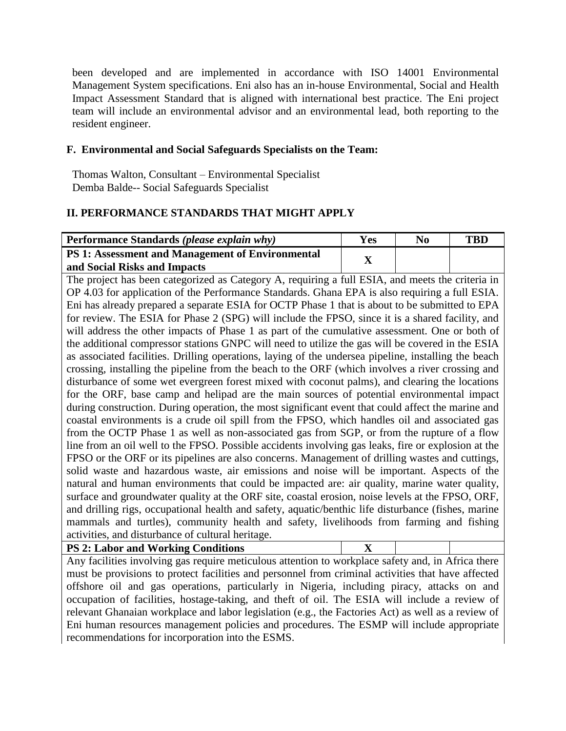been developed and are implemented in accordance with ISO 14001 Environmental Management System specifications. Eni also has an in-house Environmental, Social and Health Impact Assessment Standard that is aligned with international best practice. The Eni project team will include an environmental advisor and an environmental lead, both reporting to the resident engineer.

## **F. Environmental and Social Safeguards Specialists on the Team:**

Thomas Walton, Consultant – Environmental Specialist Demba Balde-- Social Safeguards Specialist

# **II. PERFORMANCE STANDARDS THAT MIGHT APPLY**

| Performance Standards (please explain why)              | Yes | No | TBD |
|---------------------------------------------------------|-----|----|-----|
| <b>PS 1: Assessment and Management of Environmental</b> |     |    |     |
| and Social Risks and Impacts                            |     |    |     |

The project has been categorized as Category A, requiring a full ESIA, and meets the criteria in OP 4.03 for application of the Performance Standards. Ghana EPA is also requiring a full ESIA. Eni has already prepared a separate ESIA for OCTP Phase 1 that is about to be submitted to EPA for review. The ESIA for Phase 2 (SPG) will include the FPSO, since it is a shared facility, and will address the other impacts of Phase 1 as part of the cumulative assessment. One or both of the additional compressor stations GNPC will need to utilize the gas will be covered in the ESIA as associated facilities. Drilling operations, laying of the undersea pipeline, installing the beach crossing, installing the pipeline from the beach to the ORF (which involves a river crossing and disturbance of some wet evergreen forest mixed with coconut palms), and clearing the locations for the ORF, base camp and helipad are the main sources of potential environmental impact during construction. During operation, the most significant event that could affect the marine and coastal environments is a crude oil spill from the FPSO, which handles oil and associated gas from the OCTP Phase 1 as well as non-associated gas from SGP, or from the rupture of a flow line from an oil well to the FPSO. Possible accidents involving gas leaks, fire or explosion at the FPSO or the ORF or its pipelines are also concerns. Management of drilling wastes and cuttings, solid waste and hazardous waste, air emissions and noise will be important. Aspects of the natural and human environments that could be impacted are: air quality, marine water quality, surface and groundwater quality at the ORF site, coastal erosion, noise levels at the FPSO, ORF, and drilling rigs, occupational health and safety, aquatic/benthic life disturbance (fishes, marine mammals and turtles), community health and safety, livelihoods from farming and fishing activities, and disturbance of cultural heritage.

| <b>PS 2: Labor and Working Conditions</b> |  |
|-------------------------------------------|--|
|                                           |  |

Any facilities involving gas require meticulous attention to workplace safety and, in Africa there must be provisions to protect facilities and personnel from criminal activities that have affected offshore oil and gas operations, particularly in Nigeria, including piracy, attacks on and occupation of facilities, hostage-taking, and theft of oil. The ESIA will include a review of relevant Ghanaian workplace and labor legislation (e.g., the Factories Act) as well as a review of Eni human resources management policies and procedures. The ESMP will include appropriate recommendations for incorporation into the ESMS.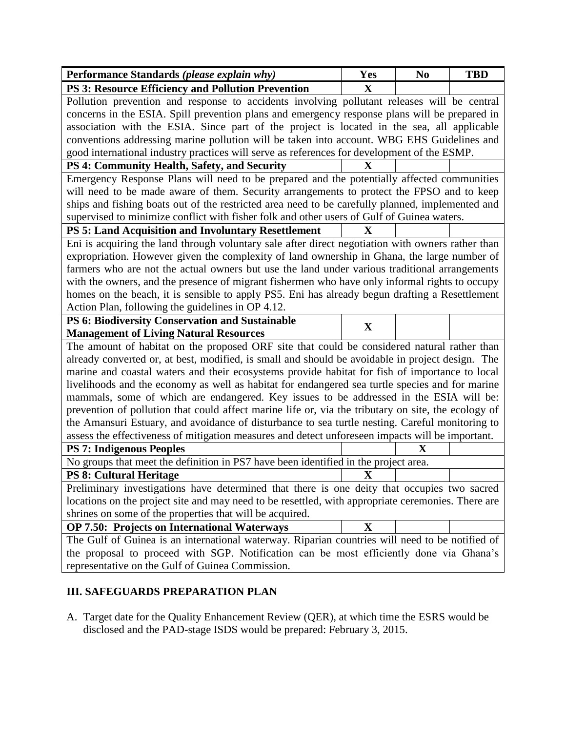| Performance Standards (please explain why)                                                                                                                                                          | Yes          | N <sub>0</sub> | <b>TBD</b> |  |
|-----------------------------------------------------------------------------------------------------------------------------------------------------------------------------------------------------|--------------|----------------|------------|--|
| <b>PS 3: Resource Efficiency and Pollution Prevention</b>                                                                                                                                           | $\mathbf X$  |                |            |  |
| Pollution prevention and response to accidents involving pollutant releases will be central                                                                                                         |              |                |            |  |
| concerns in the ESIA. Spill prevention plans and emergency response plans will be prepared in                                                                                                       |              |                |            |  |
| association with the ESIA. Since part of the project is located in the sea, all applicable                                                                                                          |              |                |            |  |
| conventions addressing marine pollution will be taken into account. WBG EHS Guidelines and                                                                                                          |              |                |            |  |
| good international industry practices will serve as references for development of the ESMP.                                                                                                         |              |                |            |  |
| PS 4: Community Health, Safety, and Security                                                                                                                                                        | $\mathbf X$  |                |            |  |
| Emergency Response Plans will need to be prepared and the potentially affected communities                                                                                                          |              |                |            |  |
| will need to be made aware of them. Security arrangements to protect the FPSO and to keep                                                                                                           |              |                |            |  |
| ships and fishing boats out of the restricted area need to be carefully planned, implemented and                                                                                                    |              |                |            |  |
| supervised to minimize conflict with fisher folk and other users of Gulf of Guinea waters.                                                                                                          |              |                |            |  |
| PS 5: Land Acquisition and Involuntary Resettlement                                                                                                                                                 | $\mathbf X$  |                |            |  |
| Eni is acquiring the land through voluntary sale after direct negotiation with owners rather than                                                                                                   |              |                |            |  |
| expropriation. However given the complexity of land ownership in Ghana, the large number of                                                                                                         |              |                |            |  |
| farmers who are not the actual owners but use the land under various traditional arrangements                                                                                                       |              |                |            |  |
| with the owners, and the presence of migrant fishermen who have only informal rights to occupy                                                                                                      |              |                |            |  |
| homes on the beach, it is sensible to apply PS5. Eni has already begun drafting a Resettlement                                                                                                      |              |                |            |  |
| Action Plan, following the guidelines in OP 4.12.                                                                                                                                                   |              |                |            |  |
| PS 6: Biodiversity Conservation and Sustainable                                                                                                                                                     | X            |                |            |  |
| <b>Management of Living Natural Resources</b>                                                                                                                                                       |              |                |            |  |
| The amount of habitat on the proposed ORF site that could be considered natural rather than                                                                                                         |              |                |            |  |
| already converted or, at best, modified, is small and should be avoidable in project design. The                                                                                                    |              |                |            |  |
| marine and coastal waters and their ecosystems provide habitat for fish of importance to local                                                                                                      |              |                |            |  |
| livelihoods and the economy as well as habitat for endangered sea turtle species and for marine                                                                                                     |              |                |            |  |
| mammals, some of which are endangered. Key issues to be addressed in the ESIA will be:                                                                                                              |              |                |            |  |
| prevention of pollution that could affect marine life or, via the tributary on site, the ecology of                                                                                                 |              |                |            |  |
| the Amansuri Estuary, and avoidance of disturbance to sea turtle nesting. Careful monitoring to<br>assess the effectiveness of mitigation measures and detect unforeseen impacts will be important. |              |                |            |  |
| <b>PS 7: Indigenous Peoples</b>                                                                                                                                                                     |              | $\mathbf X$    |            |  |
| No groups that meet the definition in PS7 have been identified in the project area.                                                                                                                 |              |                |            |  |
| <b>PS 8: Cultural Heritage</b>                                                                                                                                                                      |              |                |            |  |
|                                                                                                                                                                                                     | $\mathbf{X}$ |                |            |  |
| Preliminary investigations have determined that there is one deity that occupies two sacred<br>locations on the project site and may need to be resettled, with appropriate ceremonies. There are   |              |                |            |  |
| shrines on some of the properties that will be acquired.                                                                                                                                            |              |                |            |  |
| OP 7.50: Projects on International Waterways                                                                                                                                                        | $\mathbf X$  |                |            |  |
| The Gulf of Guinea is an international waterway. Riparian countries will need to be notified of                                                                                                     |              |                |            |  |
| the proposal to proceed with SGP. Notification can be most efficiently done via Ghana's                                                                                                             |              |                |            |  |
| representative on the Gulf of Guinea Commission.                                                                                                                                                    |              |                |            |  |

# **III. SAFEGUARDS PREPARATION PLAN**

A. Target date for the Quality Enhancement Review (QER), at which time the ESRS would be disclosed and the PAD-stage ISDS would be prepared: February 3, 2015.